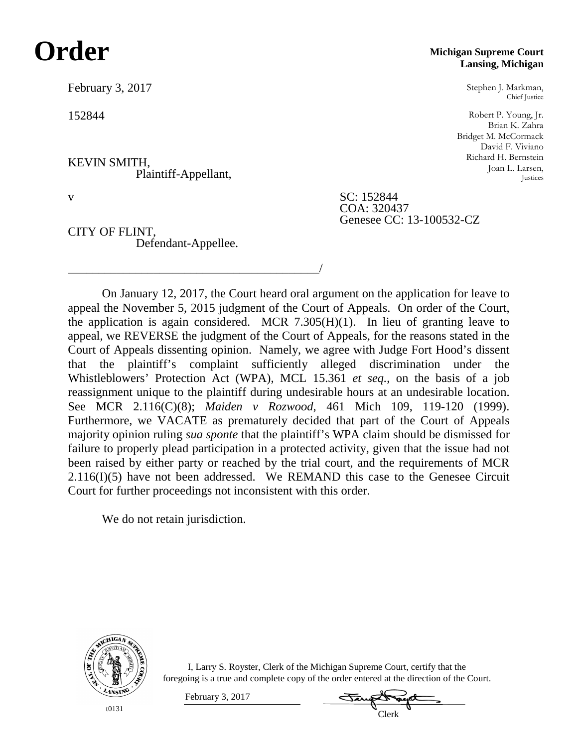# **Order**

February 3, 2017

152844

KEVIN SMITH, Plaintiff-Appellant,

CITY OF FLINT, Defendant-Appellee.

\_\_\_\_\_\_\_\_\_\_\_\_\_\_\_\_\_\_\_\_\_\_\_\_\_\_\_\_\_\_\_\_\_\_\_\_\_\_\_\_\_/

### **Michigan Supreme Court Lansing, Michigan**

Stephen J. Markman, Chief Justice

Robert P. Young, Jr. Brian K. Zahra Bridget M. McCormack David F. Viviano Richard H. Bernstein Joan L. Larsen, Justices

v SC: 152844 COA: 320437 Genesee CC: 13-100532-CZ

On January 12, 2017, the Court heard oral argument on the application for leave to appeal the November 5, 2015 judgment of the Court of Appeals. On order of the Court, the application is again considered. MCR  $7.305(H)(1)$ . In lieu of granting leave to appeal, we REVERSE the judgment of the Court of Appeals, for the reasons stated in the Court of Appeals dissenting opinion. Namely, we agree with Judge Fort Hood's dissent that the plaintiff's complaint sufficiently alleged discrimination under the Whistleblowers' Protection Act (WPA), MCL 15.361 *et seq.*, on the basis of a job reassignment unique to the plaintiff during undesirable hours at an undesirable location. See MCR 2.116(C)(8); *Maiden v Rozwood*, 461 Mich 109, 119-120 (1999). Furthermore, we VACATE as prematurely decided that part of the Court of Appeals majority opinion ruling *sua sponte* that the plaintiff's WPA claim should be dismissed for failure to properly plead participation in a protected activity, given that the issue had not been raised by either party or reached by the trial court, and the requirements of MCR 2.116(I)(5) have not been addressed. We REMAND this case to the Genesee Circuit Court for further proceedings not inconsistent with this order.

We do not retain jurisdiction.

February 3, 2017



I, Larry S. Royster, Clerk of the Michigan Supreme Court, certify that the foregoing is a true and complete copy of the order entered at the direction of the Court.

Clerk

t0131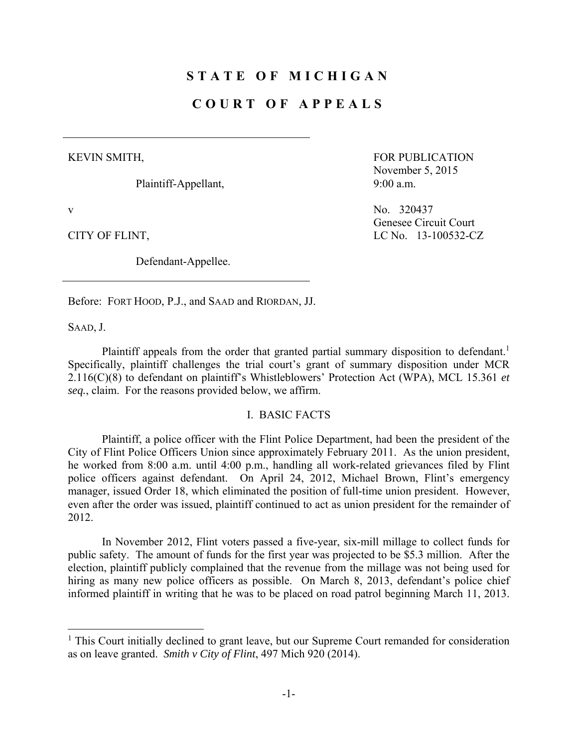# **STATE OF MICHIGAN**

## **COURT OF APPEALS**

#### KEVIN SMITH,

Plaintiff-Appellant,

Defendant-Appellee.

FOR PUBLICATION November 5, 2015 9:00 a.m.

v No. 320437 Genesee Circuit Court CITY OF FLINT, LC No. 13-100532-CZ

Before: FORT HOOD, P.J., and SAAD and RIORDAN, JJ.

SAAD, J.

1

Plaintiff appeals from the order that granted partial summary disposition to defendant.<sup>1</sup> Specifically, plaintiff challenges the trial court's grant of summary disposition under MCR 2.116(C)(8) to defendant on plaintiff's Whistleblowers' Protection Act (WPA), MCL 15.361 *et seq.*, claim. For the reasons provided below, we affirm.

## I. BASIC FACTS

 Plaintiff, a police officer with the Flint Police Department, had been the president of the City of Flint Police Officers Union since approximately February 2011. As the union president, he worked from 8:00 a.m. until 4:00 p.m., handling all work-related grievances filed by Flint police officers against defendant. On April 24, 2012, Michael Brown, Flint's emergency manager, issued Order 18, which eliminated the position of full-time union president. However, even after the order was issued, plaintiff continued to act as union president for the remainder of 2012.

 In November 2012, Flint voters passed a five-year, six-mill millage to collect funds for public safety. The amount of funds for the first year was projected to be \$5.3 million. After the election, plaintiff publicly complained that the revenue from the millage was not being used for hiring as many new police officers as possible. On March 8, 2013, defendant's police chief informed plaintiff in writing that he was to be placed on road patrol beginning March 11, 2013.

<sup>&</sup>lt;sup>1</sup> This Court initially declined to grant leave, but our Supreme Court remanded for consideration as on leave granted. *Smith v City of Flint*, 497 Mich 920 (2014).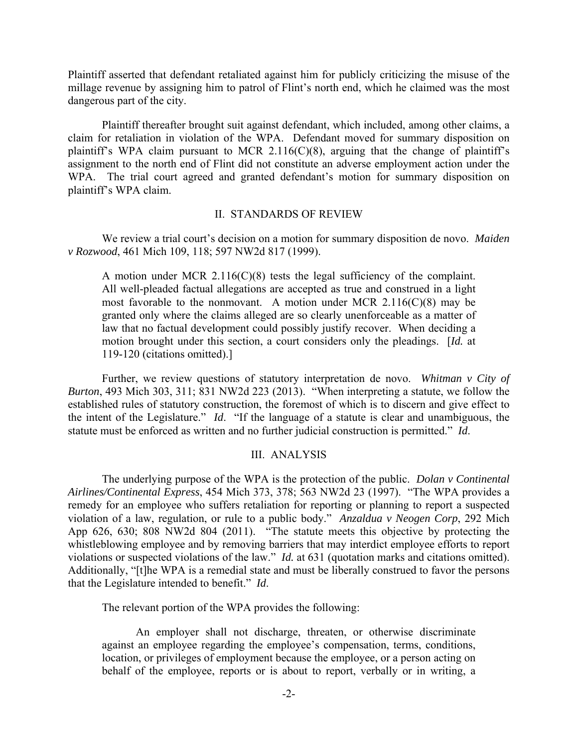Plaintiff asserted that defendant retaliated against him for publicly criticizing the misuse of the millage revenue by assigning him to patrol of Flint's north end, which he claimed was the most dangerous part of the city.

 Plaintiff thereafter brought suit against defendant, which included, among other claims, a claim for retaliation in violation of the WPA. Defendant moved for summary disposition on plaintiff's WPA claim pursuant to MCR 2.116(C)(8), arguing that the change of plaintiff's assignment to the north end of Flint did not constitute an adverse employment action under the WPA. The trial court agreed and granted defendant's motion for summary disposition on plaintiff's WPA claim.

#### II. STANDARDS OF REVIEW

 We review a trial court's decision on a motion for summary disposition de novo. *Maiden v Rozwood*, 461 Mich 109, 118; 597 NW2d 817 (1999).

A motion under MCR  $2.116(C)(8)$  tests the legal sufficiency of the complaint. All well-pleaded factual allegations are accepted as true and construed in a light most favorable to the nonmovant. A motion under MCR  $2.116(C)(8)$  may be granted only where the claims alleged are so clearly unenforceable as a matter of law that no factual development could possibly justify recover. When deciding a motion brought under this section, a court considers only the pleadings. [*Id.* at 119-120 (citations omitted).]

 Further, we review questions of statutory interpretation de novo. *Whitman v City of Burton*, 493 Mich 303, 311; 831 NW2d 223 (2013). "When interpreting a statute, we follow the established rules of statutory construction, the foremost of which is to discern and give effect to the intent of the Legislature." *Id*. "If the language of a statute is clear and unambiguous, the statute must be enforced as written and no further judicial construction is permitted." *Id*.

#### III. ANALYSIS

 The underlying purpose of the WPA is the protection of the public. *Dolan v Continental Airlines/Continental Express*, 454 Mich 373, 378; 563 NW2d 23 (1997). "The WPA provides a remedy for an employee who suffers retaliation for reporting or planning to report a suspected violation of a law, regulation, or rule to a public body." *Anzaldua v Neogen Corp*, 292 Mich App 626, 630; 808 NW2d 804 (2011). "The statute meets this objective by protecting the whistleblowing employee and by removing barriers that may interdict employee efforts to report violations or suspected violations of the law." *Id.* at 631 (quotation marks and citations omitted). Additionally, "[t]he WPA is a remedial state and must be liberally construed to favor the persons that the Legislature intended to benefit." *Id*.

The relevant portion of the WPA provides the following:

 An employer shall not discharge, threaten, or otherwise discriminate against an employee regarding the employee's compensation, terms, conditions, location, or privileges of employment because the employee, or a person acting on behalf of the employee, reports or is about to report, verbally or in writing, a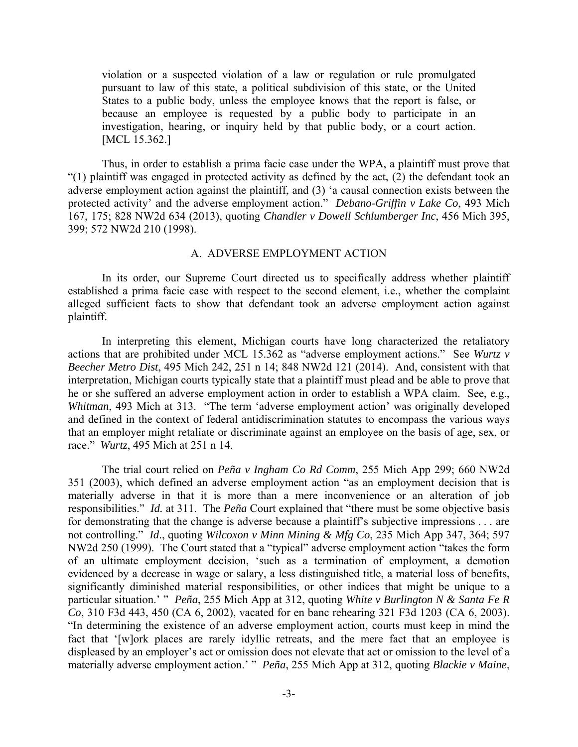violation or a suspected violation of a law or regulation or rule promulgated pursuant to law of this state, a political subdivision of this state, or the United States to a public body, unless the employee knows that the report is false, or because an employee is requested by a public body to participate in an investigation, hearing, or inquiry held by that public body, or a court action. [MCL 15.362.]

 Thus, in order to establish a prima facie case under the WPA, a plaintiff must prove that "(1) plaintiff was engaged in protected activity as defined by the act, (2) the defendant took an adverse employment action against the plaintiff, and (3) 'a causal connection exists between the protected activity' and the adverse employment action." *Debano-Griffin v Lake Co*, 493 Mich 167, 175; 828 NW2d 634 (2013), quoting *Chandler v Dowell Schlumberger Inc*, 456 Mich 395, 399; 572 NW2d 210 (1998).

#### A. ADVERSE EMPLOYMENT ACTION

 In its order, our Supreme Court directed us to specifically address whether plaintiff established a prima facie case with respect to the second element, i.e., whether the complaint alleged sufficient facts to show that defendant took an adverse employment action against plaintiff.

 In interpreting this element, Michigan courts have long characterized the retaliatory actions that are prohibited under MCL 15.362 as "adverse employment actions." See *Wurtz v Beecher Metro Dist*, 495 Mich 242, 251 n 14; 848 NW2d 121 (2014). And, consistent with that interpretation, Michigan courts typically state that a plaintiff must plead and be able to prove that he or she suffered an adverse employment action in order to establish a WPA claim. See, e.g., *Whitman*, 493 Mich at 313. "The term 'adverse employment action' was originally developed and defined in the context of federal antidiscrimination statutes to encompass the various ways that an employer might retaliate or discriminate against an employee on the basis of age, sex, or race." *Wurtz*, 495 Mich at 251 n 14.

 The trial court relied on *Peña v Ingham Co Rd Comm*, 255 Mich App 299; 660 NW2d 351 (2003), which defined an adverse employment action "as an employment decision that is materially adverse in that it is more than a mere inconvenience or an alteration of job responsibilities." *Id.* at 311. The *Peña* Court explained that "there must be some objective basis for demonstrating that the change is adverse because a plaintiff's subjective impressions . . . are not controlling." *Id*., quoting *Wilcoxon v Minn Mining & Mfg Co*, 235 Mich App 347, 364; 597 NW2d 250 (1999). The Court stated that a "typical" adverse employment action "takes the form of an ultimate employment decision, 'such as a termination of employment, a demotion evidenced by a decrease in wage or salary, a less distinguished title, a material loss of benefits, significantly diminished material responsibilities, or other indices that might be unique to a particular situation.' " *Peña*, 255 Mich App at 312, quoting *White v Burlington N & Santa Fe R Co*, 310 F3d 443, 450 (CA 6, 2002), vacated for en banc rehearing 321 F3d 1203 (CA 6, 2003). "In determining the existence of an adverse employment action, courts must keep in mind the fact that '[w]ork places are rarely idyllic retreats, and the mere fact that an employee is displeased by an employer's act or omission does not elevate that act or omission to the level of a materially adverse employment action.' " *Peña*, 255 Mich App at 312, quoting *Blackie v Maine*,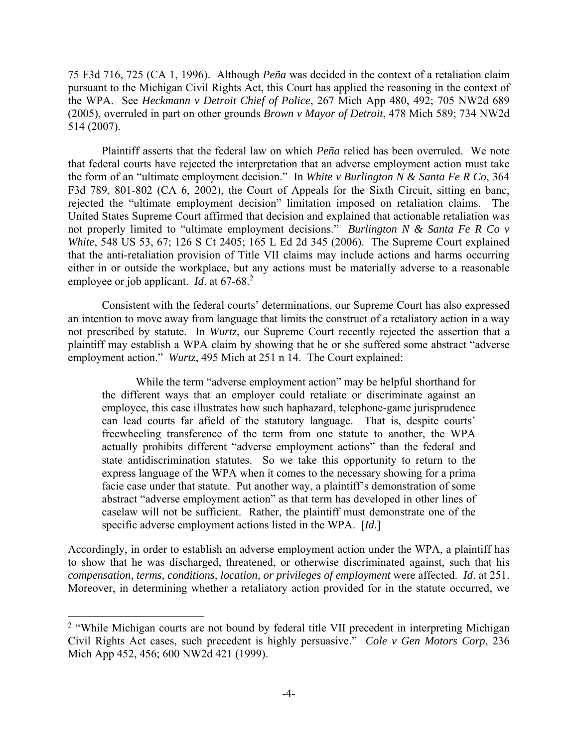75 F3d 716, 725 (CA 1, 1996). Although *Peña* was decided in the context of a retaliation claim pursuant to the Michigan Civil Rights Act, this Court has applied the reasoning in the context of the WPA. See *Heckmann v Detroit Chief of Police*, 267 Mich App 480, 492; 705 NW2d 689 (2005), overruled in part on other grounds *Brown v Mayor of Detroit*, 478 Mich 589; 734 NW2d 514 (2007).

 Plaintiff asserts that the federal law on which *Peña* relied has been overruled. We note that federal courts have rejected the interpretation that an adverse employment action must take the form of an "ultimate employment decision." In *White v Burlington N & Santa Fe R Co*, 364 F3d 789, 801-802 (CA 6, 2002), the Court of Appeals for the Sixth Circuit, sitting en banc, rejected the "ultimate employment decision" limitation imposed on retaliation claims. The United States Supreme Court affirmed that decision and explained that actionable retaliation was not properly limited to "ultimate employment decisions." *Burlington N & Santa Fe R Co v White*, 548 US 53, 67; 126 S Ct 2405; 165 L Ed 2d 345 (2006). The Supreme Court explained that the anti-retaliation provision of Title VII claims may include actions and harms occurring either in or outside the workplace, but any actions must be materially adverse to a reasonable employee or job applicant. *Id.* at 67-68<sup>2</sup>

 Consistent with the federal courts' determinations, our Supreme Court has also expressed an intention to move away from language that limits the construct of a retaliatory action in a way not prescribed by statute. In *Wurtz*, our Supreme Court recently rejected the assertion that a plaintiff may establish a WPA claim by showing that he or she suffered some abstract "adverse employment action." *Wurtz*, 495 Mich at 251 n 14. The Court explained:

 While the term "adverse employment action" may be helpful shorthand for the different ways that an employer could retaliate or discriminate against an employee, this case illustrates how such haphazard, telephone-game jurisprudence can lead courts far afield of the statutory language. That is, despite courts' freewheeling transference of the term from one statute to another, the WPA actually prohibits different "adverse employment actions" than the federal and state antidiscrimination statutes. So we take this opportunity to return to the express language of the WPA when it comes to the necessary showing for a prima facie case under that statute. Put another way, a plaintiff's demonstration of some abstract "adverse employment action" as that term has developed in other lines of caselaw will not be sufficient. Rather, the plaintiff must demonstrate one of the specific adverse employment actions listed in the WPA. [*Id*.]

Accordingly, in order to establish an adverse employment action under the WPA, a plaintiff has to show that he was discharged, threatened, or otherwise discriminated against, such that his *compensation, terms, conditions, location, or privileges of employment* were affected. *Id*. at 251. Moreover, in determining whether a retaliatory action provided for in the statute occurred, we

<sup>&</sup>lt;sup>2</sup> "While Michigan courts are not bound by federal title VII precedent in interpreting Michigan Civil Rights Act cases, such precedent is highly persuasive." *Cole v Gen Motors Corp*, 236 Mich App 452, 456; 600 NW2d 421 (1999).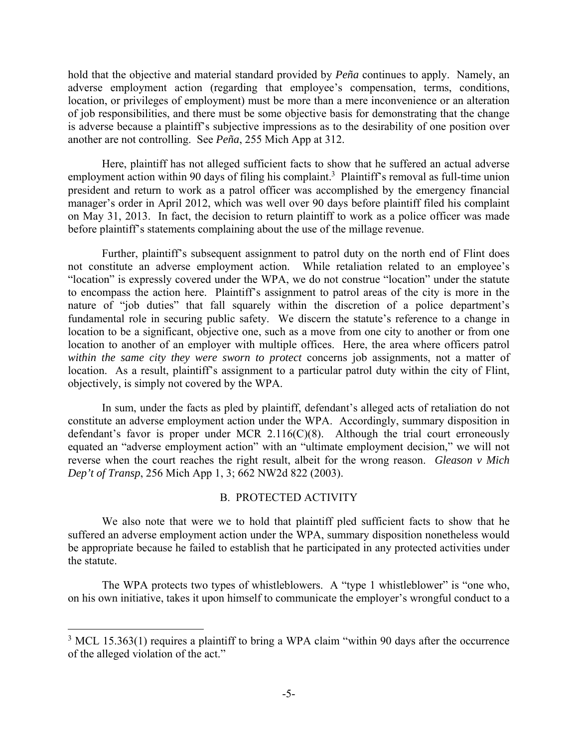hold that the objective and material standard provided by *Peña* continues to apply. Namely, an adverse employment action (regarding that employee's compensation, terms, conditions, location, or privileges of employment) must be more than a mere inconvenience or an alteration of job responsibilities, and there must be some objective basis for demonstrating that the change is adverse because a plaintiff's subjective impressions as to the desirability of one position over another are not controlling. See *Peña*, 255 Mich App at 312.

 Here, plaintiff has not alleged sufficient facts to show that he suffered an actual adverse employment action within 90 days of filing his complaint.<sup>3</sup> Plaintiff's removal as full-time union president and return to work as a patrol officer was accomplished by the emergency financial manager's order in April 2012, which was well over 90 days before plaintiff filed his complaint on May 31, 2013. In fact, the decision to return plaintiff to work as a police officer was made before plaintiff's statements complaining about the use of the millage revenue.

 Further, plaintiff's subsequent assignment to patrol duty on the north end of Flint does not constitute an adverse employment action. While retaliation related to an employee's "location" is expressly covered under the WPA, we do not construe "location" under the statute to encompass the action here. Plaintiff's assignment to patrol areas of the city is more in the nature of "job duties" that fall squarely within the discretion of a police department's fundamental role in securing public safety. We discern the statute's reference to a change in location to be a significant, objective one, such as a move from one city to another or from one location to another of an employer with multiple offices. Here, the area where officers patrol *within the same city they were sworn to protect* concerns job assignments, not a matter of location. As a result, plaintiff's assignment to a particular patrol duty within the city of Flint, objectively, is simply not covered by the WPA.

 In sum, under the facts as pled by plaintiff, defendant's alleged acts of retaliation do not constitute an adverse employment action under the WPA. Accordingly, summary disposition in defendant's favor is proper under MCR 2.116(C)(8). Although the trial court erroneously equated an "adverse employment action" with an "ultimate employment decision," we will not reverse when the court reaches the right result, albeit for the wrong reason. *Gleason v Mich Dep't of Transp*, 256 Mich App 1, 3; 662 NW2d 822 (2003).

## B. PROTECTED ACTIVITY

 We also note that were we to hold that plaintiff pled sufficient facts to show that he suffered an adverse employment action under the WPA, summary disposition nonetheless would be appropriate because he failed to establish that he participated in any protected activities under the statute.

 The WPA protects two types of whistleblowers. A "type 1 whistleblower" is "one who, on his own initiative, takes it upon himself to communicate the employer's wrongful conduct to a

 $3 \text{ MCL } 15.363(1)$  requires a plaintiff to bring a WPA claim "within 90 days after the occurrence of the alleged violation of the act."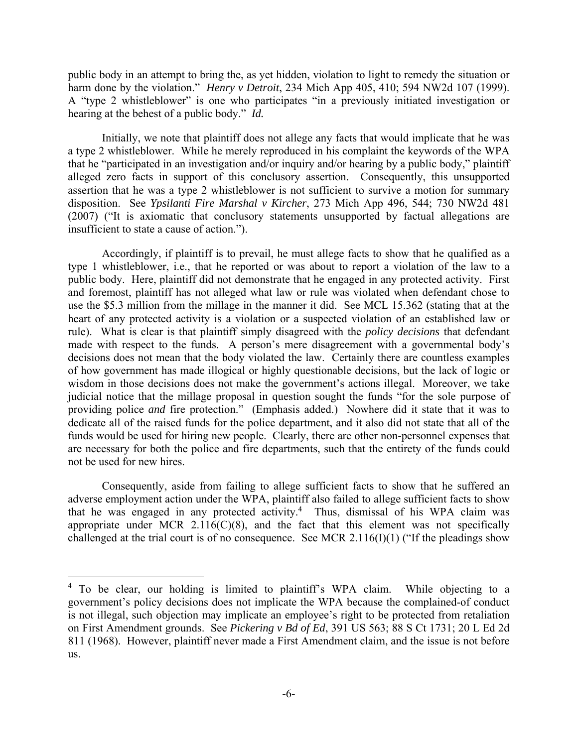public body in an attempt to bring the, as yet hidden, violation to light to remedy the situation or harm done by the violation." *Henry v Detroit*, 234 Mich App 405, 410; 594 NW2d 107 (1999). A "type 2 whistleblower" is one who participates "in a previously initiated investigation or hearing at the behest of a public body." *Id.*

 Initially, we note that plaintiff does not allege any facts that would implicate that he was a type 2 whistleblower. While he merely reproduced in his complaint the keywords of the WPA that he "participated in an investigation and/or inquiry and/or hearing by a public body," plaintiff alleged zero facts in support of this conclusory assertion. Consequently, this unsupported assertion that he was a type 2 whistleblower is not sufficient to survive a motion for summary disposition. See *Ypsilanti Fire Marshal v Kircher*, 273 Mich App 496, 544; 730 NW2d 481 (2007) ("It is axiomatic that conclusory statements unsupported by factual allegations are insufficient to state a cause of action.").

 Accordingly, if plaintiff is to prevail, he must allege facts to show that he qualified as a type 1 whistleblower, i.e., that he reported or was about to report a violation of the law to a public body. Here, plaintiff did not demonstrate that he engaged in any protected activity. First and foremost, plaintiff has not alleged what law or rule was violated when defendant chose to use the \$5.3 million from the millage in the manner it did. See MCL 15.362 (stating that at the heart of any protected activity is a violation or a suspected violation of an established law or rule). What is clear is that plaintiff simply disagreed with the *policy decisions* that defendant made with respect to the funds. A person's mere disagreement with a governmental body's decisions does not mean that the body violated the law. Certainly there are countless examples of how government has made illogical or highly questionable decisions, but the lack of logic or wisdom in those decisions does not make the government's actions illegal. Moreover, we take judicial notice that the millage proposal in question sought the funds "for the sole purpose of providing police *and* fire protection." (Emphasis added.) Nowhere did it state that it was to dedicate all of the raised funds for the police department, and it also did not state that all of the funds would be used for hiring new people. Clearly, there are other non-personnel expenses that are necessary for both the police and fire departments, such that the entirety of the funds could not be used for new hires.

 Consequently, aside from failing to allege sufficient facts to show that he suffered an adverse employment action under the WPA, plaintiff also failed to allege sufficient facts to show that he was engaged in any protected activity.<sup>4</sup> Thus, dismissal of his WPA claim was appropriate under MCR  $2.116(C)(8)$ , and the fact that this element was not specifically challenged at the trial court is of no consequence. See MCR 2.116(I)(1) ("If the pleadings show

<sup>&</sup>lt;sup>4</sup> To be clear, our holding is limited to plaintiff's WPA claim. While objecting to a government's policy decisions does not implicate the WPA because the complained-of conduct is not illegal, such objection may implicate an employee's right to be protected from retaliation on First Amendment grounds. See *Pickering v Bd of Ed*, 391 US 563; 88 S Ct 1731; 20 L Ed 2d 811 (1968). However, plaintiff never made a First Amendment claim, and the issue is not before us.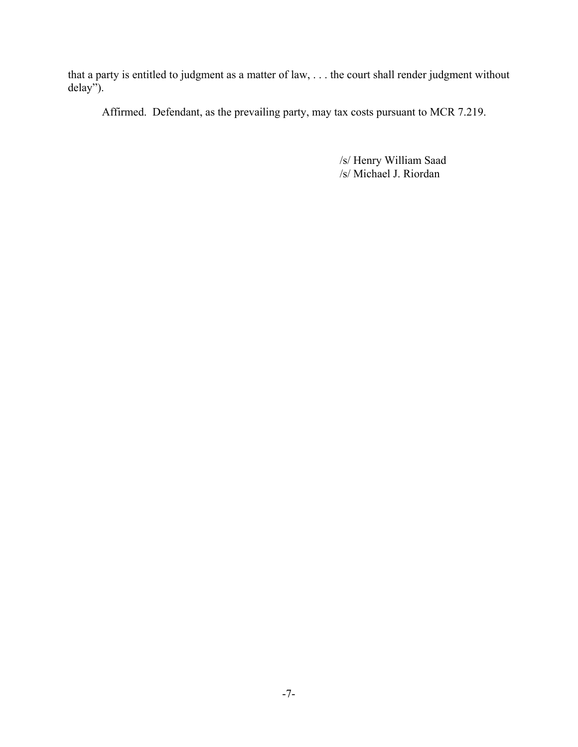that a party is entitled to judgment as a matter of law, . . . the court shall render judgment without delay").

Affirmed. Defendant, as the prevailing party, may tax costs pursuant to MCR 7.219.

/s/ Henry William Saad /s/ Michael J. Riordan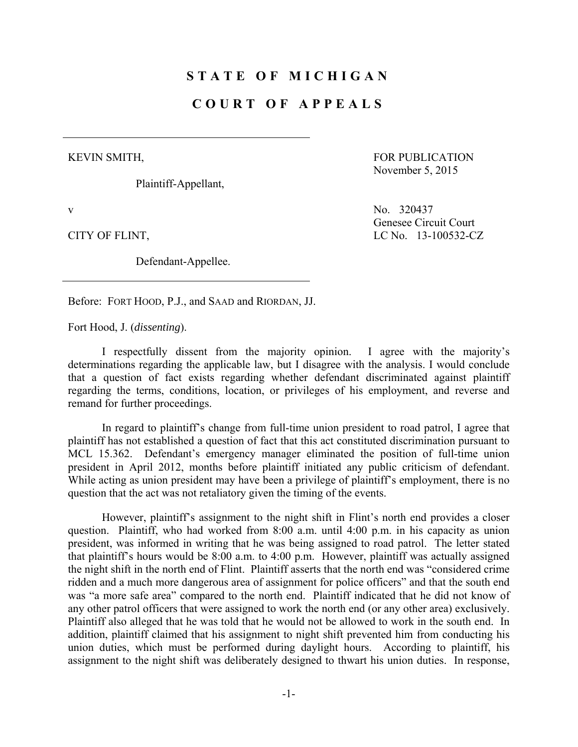# **STATE OF MICHIGAN**

## **COURT OF APPEALS**

#### KEVIN SMITH,

Plaintiff-Appellant,

FOR PUBLICATION November 5, 2015

CITY OF FLINT, LC No. 13-100532-CZ

Defendant-Appellee.

v No. 320437 Genesee Circuit Court

Before: FORT HOOD, P.J., and SAAD and RIORDAN, JJ.

Fort Hood, J. (*dissenting*).

 I respectfully dissent from the majority opinion. I agree with the majority's determinations regarding the applicable law, but I disagree with the analysis. I would conclude that a question of fact exists regarding whether defendant discriminated against plaintiff regarding the terms, conditions, location, or privileges of his employment, and reverse and remand for further proceedings.

 In regard to plaintiff's change from full-time union president to road patrol, I agree that plaintiff has not established a question of fact that this act constituted discrimination pursuant to MCL 15.362. Defendant's emergency manager eliminated the position of full-time union president in April 2012, months before plaintiff initiated any public criticism of defendant. While acting as union president may have been a privilege of plaintiff's employment, there is no question that the act was not retaliatory given the timing of the events.

 However, plaintiff's assignment to the night shift in Flint's north end provides a closer question. Plaintiff, who had worked from 8:00 a.m. until 4:00 p.m. in his capacity as union president, was informed in writing that he was being assigned to road patrol. The letter stated that plaintiff's hours would be 8:00 a.m. to 4:00 p.m. However, plaintiff was actually assigned the night shift in the north end of Flint. Plaintiff asserts that the north end was "considered crime ridden and a much more dangerous area of assignment for police officers" and that the south end was "a more safe area" compared to the north end. Plaintiff indicated that he did not know of any other patrol officers that were assigned to work the north end (or any other area) exclusively. Plaintiff also alleged that he was told that he would not be allowed to work in the south end. In addition, plaintiff claimed that his assignment to night shift prevented him from conducting his union duties, which must be performed during daylight hours. According to plaintiff, his assignment to the night shift was deliberately designed to thwart his union duties. In response,